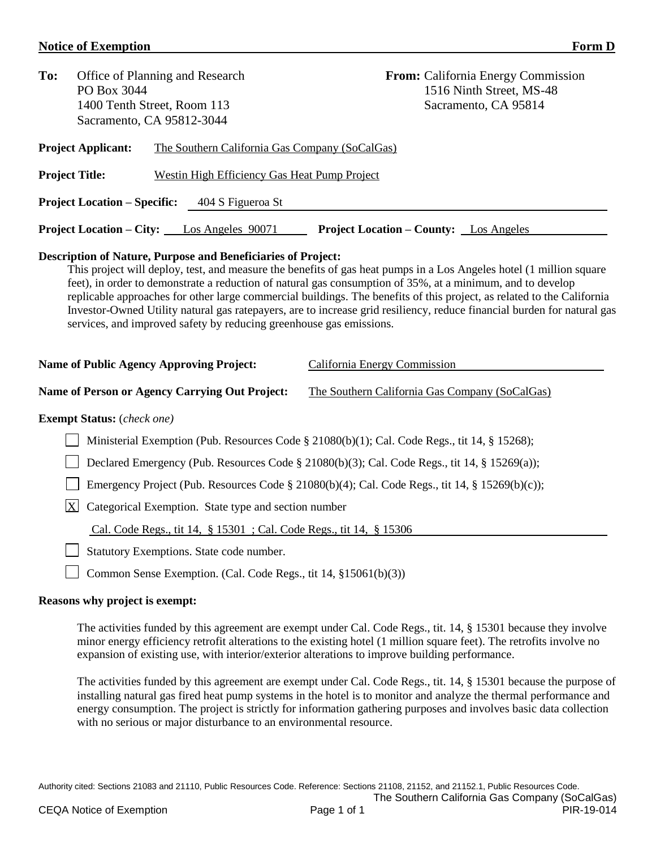## **Notice of Exemption** Form D

| To:                                                                                                                                                                                                                                                                                                                                                                                                                                                                                                                                                                                                                                                                                                                     | PO Box 3044                                                         | Office of Planning and Research<br>1400 Tenth Street, Room 113<br>Sacramento, CA 95812-3044 |                                                | <b>From:</b> California Energy Commission<br>1516 Ninth Street, MS-48<br>Sacramento, CA 95814 |  |  |  |
|-------------------------------------------------------------------------------------------------------------------------------------------------------------------------------------------------------------------------------------------------------------------------------------------------------------------------------------------------------------------------------------------------------------------------------------------------------------------------------------------------------------------------------------------------------------------------------------------------------------------------------------------------------------------------------------------------------------------------|---------------------------------------------------------------------|---------------------------------------------------------------------------------------------|------------------------------------------------|-----------------------------------------------------------------------------------------------|--|--|--|
| <b>Project Applicant:</b><br>The Southern California Gas Company (SoCalGas)                                                                                                                                                                                                                                                                                                                                                                                                                                                                                                                                                                                                                                             |                                                                     |                                                                                             |                                                |                                                                                               |  |  |  |
| <b>Project Title:</b><br><b>Westin High Efficiency Gas Heat Pump Project</b>                                                                                                                                                                                                                                                                                                                                                                                                                                                                                                                                                                                                                                            |                                                                     |                                                                                             |                                                |                                                                                               |  |  |  |
| <b>Project Location – Specific:</b><br>404 S Figueroa St                                                                                                                                                                                                                                                                                                                                                                                                                                                                                                                                                                                                                                                                |                                                                     |                                                                                             |                                                |                                                                                               |  |  |  |
|                                                                                                                                                                                                                                                                                                                                                                                                                                                                                                                                                                                                                                                                                                                         |                                                                     | <b>Project Location – City:</b> Los Angeles 90071                                           | <b>Project Location – County:</b> Los Angeles  |                                                                                               |  |  |  |
| <b>Description of Nature, Purpose and Beneficiaries of Project:</b><br>This project will deploy, test, and measure the benefits of gas heat pumps in a Los Angeles hotel (1 million square<br>feet), in order to demonstrate a reduction of natural gas consumption of 35%, at a minimum, and to develop<br>replicable approaches for other large commercial buildings. The benefits of this project, as related to the California<br>Investor-Owned Utility natural gas ratepayers, are to increase grid resiliency, reduce financial burden for natural gas<br>services, and improved safety by reducing greenhouse gas emissions.<br><b>Name of Public Agency Approving Project:</b><br>California Energy Commission |                                                                     |                                                                                             |                                                |                                                                                               |  |  |  |
|                                                                                                                                                                                                                                                                                                                                                                                                                                                                                                                                                                                                                                                                                                                         |                                                                     | Name of Person or Agency Carrying Out Project:                                              | The Southern California Gas Company (SoCalGas) |                                                                                               |  |  |  |
| <b>Exempt Status:</b> (check one)                                                                                                                                                                                                                                                                                                                                                                                                                                                                                                                                                                                                                                                                                       |                                                                     |                                                                                             |                                                |                                                                                               |  |  |  |
| Ministerial Exemption (Pub. Resources Code § 21080(b)(1); Cal. Code Regs., tit 14, § 15268);                                                                                                                                                                                                                                                                                                                                                                                                                                                                                                                                                                                                                            |                                                                     |                                                                                             |                                                |                                                                                               |  |  |  |
| Declared Emergency (Pub. Resources Code § 21080(b)(3); Cal. Code Regs., tit 14, § 15269(a));                                                                                                                                                                                                                                                                                                                                                                                                                                                                                                                                                                                                                            |                                                                     |                                                                                             |                                                |                                                                                               |  |  |  |
| Emergency Project (Pub. Resources Code § 21080(b)(4); Cal. Code Regs., tit 14, § 15269(b)(c));                                                                                                                                                                                                                                                                                                                                                                                                                                                                                                                                                                                                                          |                                                                     |                                                                                             |                                                |                                                                                               |  |  |  |
| $\mathbf X$<br>Categorical Exemption. State type and section number                                                                                                                                                                                                                                                                                                                                                                                                                                                                                                                                                                                                                                                     |                                                                     |                                                                                             |                                                |                                                                                               |  |  |  |
|                                                                                                                                                                                                                                                                                                                                                                                                                                                                                                                                                                                                                                                                                                                         | Cal. Code Regs., tit 14, § 15301 ; Cal. Code Regs., tit 14, § 15306 |                                                                                             |                                                |                                                                                               |  |  |  |

Statutory Exemptions. State code number.

Common Sense Exemption. (Cal. Code Regs., tit 14, §15061(b)(3))

## **Reasons why project is exempt:**

The activities funded by this agreement are exempt under Cal. Code Regs., tit. 14, § 15301 because they involve minor energy efficiency retrofit alterations to the existing hotel (1 million square feet). The retrofits involve no expansion of existing use, with interior/exterior alterations to improve building performance.

The activities funded by this agreement are exempt under Cal. Code Regs., tit. 14, § 15301 because the purpose of installing natural gas fired heat pump systems in the hotel is to monitor and analyze the thermal performance and energy consumption. The project is strictly for information gathering purposes and involves basic data collection with no serious or major disturbance to an environmental resource.

Authority cited: Sections 21083 and 21110, Public Resources Code. Reference: Sections 21108, 21152, and 21152.1, Public Resources Code.